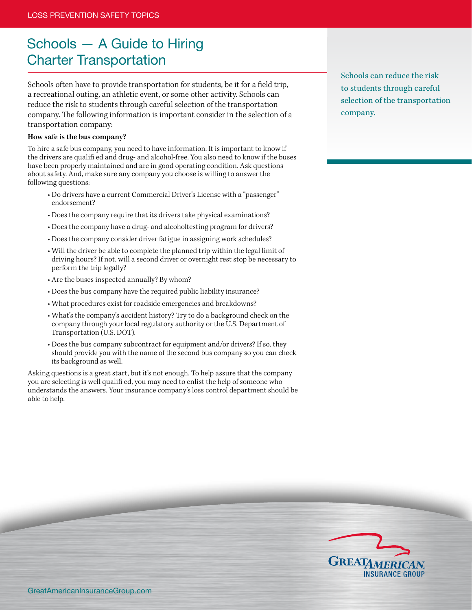## Schools — A Guide to Hiring Charter Transportation

Schools often have to provide transportation for students, be it for a field trip, a recreational outing, an athletic event, or some other activity. Schools can reduce the risk to students through careful selection of the transportation company. The following information is important consider in the selection of a transportation company:

## **How safe is the bus company?**

To hire a safe bus company, you need to have information. It is important to know if the drivers are qualifi ed and drug- and alcohol-free. You also need to know if the buses have been properly maintained and are in good operating condition. Ask questions about safety. And, make sure any company you choose is willing to answer the following questions:

- Do drivers have a current Commercial Driver's License with a "passenger" endorsement?
- Does the company require that its drivers take physical examinations?
- Does the company have a drug- and alcoholtesting program for drivers?
- Does the company consider driver fatigue in assigning work schedules?
- Will the driver be able to complete the planned trip within the legal limit of driving hours? If not, will a second driver or overnight rest stop be necessary to perform the trip legally?
- Are the buses inspected annually? By whom?
- Does the bus company have the required public liability insurance?
- What procedures exist for roadside emergencies and breakdowns?
- What's the company's accident history? Try to do a background check on the company through your local regulatory authority or the U.S. Department of Transportation (U.S. DOT).
- Does the bus company subcontract for equipment and/or drivers? If so, they should provide you with the name of the second bus company so you can check its background as well.

Asking questions is a great start, but it's not enough. To help assure that the company you are selecting is well qualifi ed, you may need to enlist the help of someone who understands the answers. Your insurance company's loss control department should be able to help.

Schools can reduce the risk to students through careful selection of the transportation company.